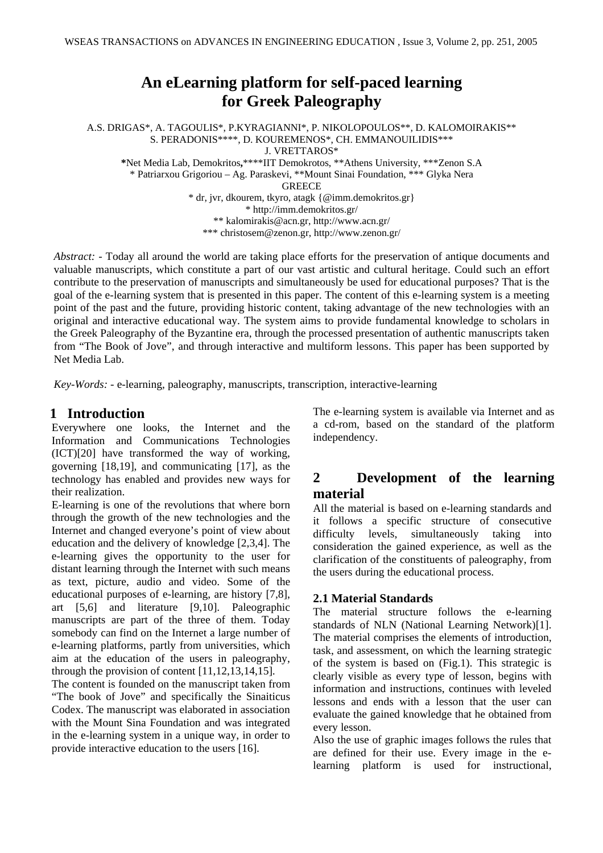# **An eLearning platform for self-paced learning for Greek Paleography**

A.S. DRIGAS\*, A. TAGOULIS\*, P.KYRAGIANNI\*, P. NIKOLOPOULOS\*\*, D. KALOMOIRAKIS\*\* S. PERADONIS\*\*\*\*, D. KOUREMENOS\*, CH. EMMANOUILIDIS\*\*\* J. VRETTAROS\*

**\***Net Media Lab, Demokritos**,**\*\*\*\*IIT Demokrotos, \*\*Athens University, \*\*\*Zenon S.A \* Patriarxou Grigoriou – Ag. Paraskevi, \*\*Mount Sinai Foundation, \*\*\* Glyka Nera

**GREECE** 

\* dr, jvr, dkourem, tkyro, atagk {@imm.demokritos.gr} \* http://imm.demokritos.gr/ \*\* kalomirakis@acn.gr, http://www.acn.gr/ \*\*\* christosem@zenon.gr, http://www.zenon.gr/

*Abstract: -* Today all around the world are taking place efforts for the preservation of antique documents and valuable manuscripts, which constitute a part of our vast artistic and cultural heritage. Could such an effort contribute to the preservation of manuscripts and simultaneously be used for educational purposes? That is the goal of the e-learning system that is presented in this paper. The content of this e-learning system is a meeting point of the past and the future, providing historic content, taking advantage of the new technologies with an original and interactive educational way. The system aims to provide fundamental knowledge to scholars in the Greek Paleography of the Byzantine era, through the processed presentation of authentic manuscripts taken from "The Book of Jove", and through interactive and multiform lessons. This paper has been supported by Net Media Lab.

*Key-Words: -* e-learning, paleography, manuscripts, transcription, interactive-learning

### **1 Introduction**

Everywhere one looks, the Internet and the Information and Communications Technologies (ICT)[20] have transformed the way of working, governing [18,19], and communicating [17], as the technology has enabled and provides new ways for their realization.

E-learning is one of the revolutions that where born through the growth of the new technologies and the Internet and changed everyone's point of view about education and the delivery of knowledge [2,3,4]. The e-learning gives the opportunity to the user for distant learning through the Internet with such means as text, picture, audio and video. Some of the educational purposes of e-learning, are history [7,8], art [5,6] and literature [9,10]. Paleographic manuscripts are part of the three of them. Today somebody can find on the Internet a large number of e-learning platforms, partly from universities, which aim at the education of the users in paleography, through the provision of content [11,12,13,14,15].

The content is founded on the manuscript taken from "The book of Jove" and specifically the Sinaiticus Codex. The manuscript was elaborated in association with the Mount Sina Foundation and was integrated in the e-learning system in a unique way, in order to provide interactive education to the users [16].

The e-learning system is available via Internet and as a cd-rom, based on the standard of the platform independency.

## **2 Development of the learning material**

All the material is based on e-learning standards and it follows a specific structure of consecutive difficulty levels, simultaneously taking into consideration the gained experience, as well as the clarification of the constituents of paleography, from the users during the educational process.

### **2.1 Material Standards**

The material structure follows the e-learning standards of NLN (National Learning Network)[1]. The material comprises the elements of introduction, task, and assessment, on which the learning strategic of the system is based on (Fig.1). This strategic is clearly visible as every type of lesson, begins with information and instructions, continues with leveled lessons and ends with a lesson that the user can evaluate the gained knowledge that he obtained from every lesson.

Also the use of graphic images follows the rules that are defined for their use. Every image in the elearning platform is used for instructional,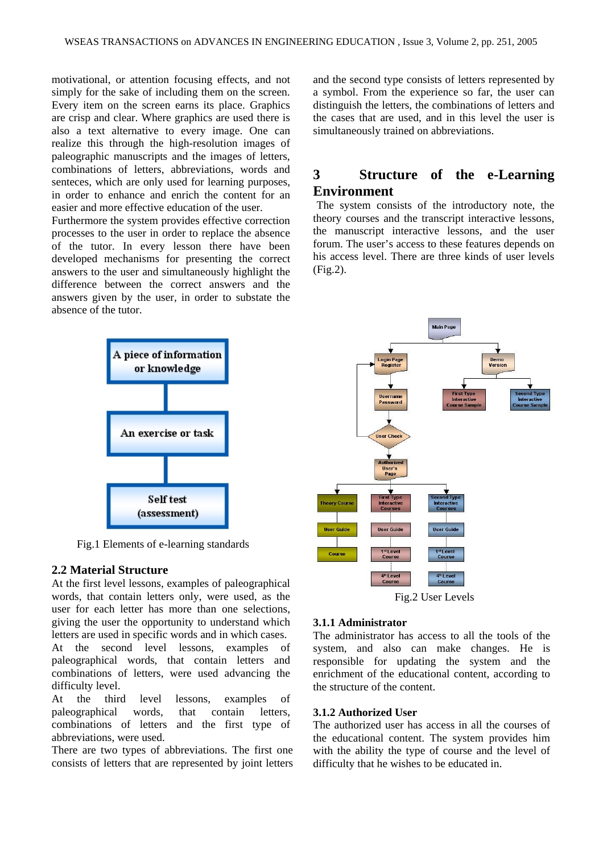motivational, or attention focusing effects, and not simply for the sake of including them on the screen. Every item on the screen earns its place. Graphics are crisp and clear. Where graphics are used there is also a text alternative to every image. One can realize this through the high-resolution images of paleographic manuscripts and the images of letters, combinations of letters, abbreviations, words and senteces, which are only used for learning purposes, in order to enhance and enrich the content for an easier and more effective education of the user.

Furthermore the system provides effective correction processes to the user in order to replace the absence of the tutor. In every lesson there have been developed mechanisms for presenting the correct answers to the user and simultaneously highlight the difference between the correct answers and the answers given by the user, in order to substate the absence of the tutor.



Fig.1 Elements of e-learning standards

#### **2.2 Material Structure**

At the first level lessons, examples of paleographical words, that contain letters only, were used, as the user for each letter has more than one selections, giving the user the opportunity to understand which letters are used in specific words and in which cases. At the second level lessons, examples of paleographical words, that contain letters and combinations of letters, were used advancing the difficulty level.

At the third level lessons, examples of paleographical words, that contain letters, combinations of letters and the first type of abbreviations, were used.

There are two types of abbreviations. The first one consists of letters that are represented by joint letters and the second type consists of letters represented by a symbol. From the experience so far, the user can distinguish the letters, the combinations of letters and the cases that are used, and in this level the user is simultaneously trained on abbreviations.

### **3 Structure of the e-Learning Environment**

The system consists of the introductory note, the theory courses and the transcript interactive lessons, the manuscript interactive lessons, and the user forum. The user's access to these features depends on his access level. There are three kinds of user levels (Fig.2).



#### **3.1.1 Administrator**

The administrator has access to all the tools of the system, and also can make changes. He is responsible for updating the system and the enrichment of the educational content, according to the structure of the content.

#### **3.1.2 Authorized User**

The authorized user has access in all the courses of the educational content. The system provides him with the ability the type of course and the level of difficulty that he wishes to be educated in.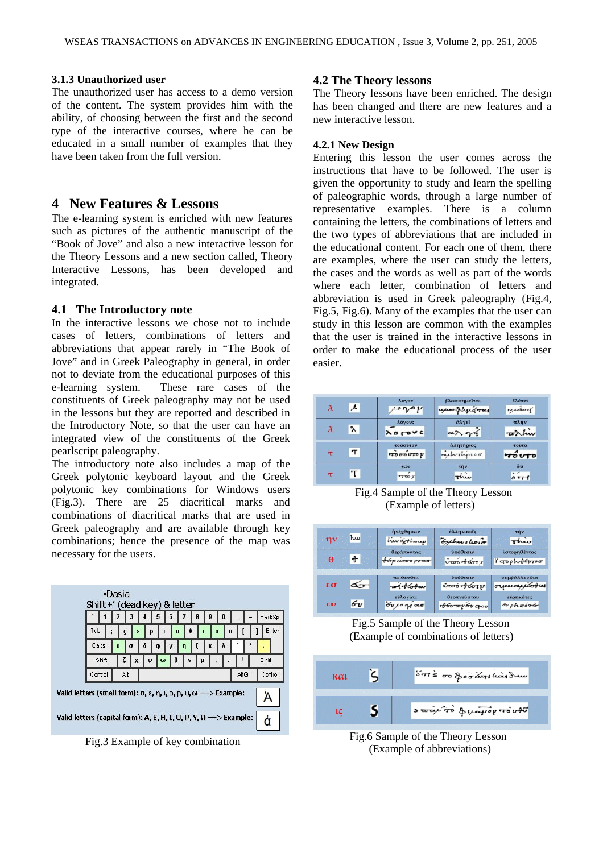#### **3.1.3 Unauthorized user**

The unauthorized user has access to a demo version of the content. The system provides him with the ability, of choosing between the first and the second type of the interactive courses, where he can be educated in a small number of examples that they have been taken from the full version.

### **4 New Features & Lessons**

The e-learning system is enriched with new features such as pictures of the authentic manuscript of the "Book of Jove" and also a new interactive lesson for the Theory Lessons and a new section called, Theory Interactive Lessons, has been developed and integrated.

#### **4.1 The Introductory note**

In the interactive lessons we chose not to include cases of letters, combinations of letters and abbreviations that appear rarely in "The Book of Jove" and in Greek Paleography in general, in order not to deviate from the educational purposes of this e-learning system. These rare cases of the constituents of Greek paleography may not be used in the lessons but they are reported and described in the Introductory Note, so that the user can have an integrated view of the constituents of the Greek pearlscript paleography.

The introductory note also includes a map of the Greek polytonic keyboard layout and the Greek polytonic key combinations for Windows users (Fig.3). There are 25 diacritical marks and combinations of diacritical marks that are used in Greek paleography and are available through key combinations; hence the presence of the map was necessary for the users.

|                                                                                                                          | •Dasia<br>Shift+' (dead key) & letter |         |          |        |   |        |          |       |   |         |   |   |  |               |
|--------------------------------------------------------------------------------------------------------------------------|---------------------------------------|---------|----------|--------|---|--------|----------|-------|---|---------|---|---|--|---------------|
|                                                                                                                          |                                       |         |          |        |   | 5      | 6        |       | 8 | 9       | 0 |   |  | <b>BackSp</b> |
|                                                                                                                          | Tab                                   | ٠       |          |        | ρ |        | $\bf{u}$ | 0     |   | $\bf o$ |   | π |  | Enter         |
|                                                                                                                          | Caps                                  |         | $\alpha$ | σ      | o | φ      | ٧        | η     | ξ | κ       | Λ |   |  |               |
|                                                                                                                          |                                       | Shift   |          | ζ<br>X |   | ω<br>Ψ | ß        | v     | п |         |   |   |  | Shift         |
|                                                                                                                          |                                       | Control |          | Alt    |   |        |          | AltGr |   | Control |   |   |  |               |
| Valid letters (small form): $\alpha$ , $\epsilon$ , $\eta$ , $\iota$ , $\alpha$ , $\rho$ , $\omega \rightarrow$ Example: |                                       |         |          |        |   |        |          |       |   |         |   |   |  |               |
| Valid letters (capital form): A, E, H, I, O, P, Y, $\Omega \longrightarrow$ Example:                                     |                                       |         |          |        |   |        |          |       |   |         |   |   |  | Ò             |

Fig.3 Example of key combination

#### **4.2 The Theory lessons**

The Theory lessons have been enriched. The design has been changed and there are new features and a new interactive lesson.

#### **4.2.1 New Design**

Entering this lesson the user comes across the instructions that have to be followed. The user is given the opportunity to study and learn the spelling of paleographic words, through a large number of representative examples. There is a column containing the letters, the combinations of letters and the two types of abbreviations that are included in the educational content. For each one of them, there are examples, where the user can study the letters, the cases and the words as well as part of the words where each letter, combination of letters and abbreviation is used in Greek paleography (Fig.4, Fig.5, Fig.6). Many of the examples that the user can study in this lesson are common with the examples that the user is trained in the interactive lessons in order to make the educational process of the user easier.

|      | x         | λόγον<br>øμ                          | βλασφημείται<br><i>upart hyperray</i> | βλέπει<br>uitood    |
|------|-----------|--------------------------------------|---------------------------------------|---------------------|
|      | $\lambda$ | λόγους<br><b>ACTOVC</b>              | άλγεϊ<br>$\alpha \wedge \gamma \zeta$ | πλήν<br>with him    |
| τ    | $\tau$    | τοσούτον<br>$\overrightarrow{10000}$ | άλητήριος<br>autoripier               | τούτο<br>riouto     |
| $-1$ |           | TWV<br>$T$ too $\mu$                 | <b>THV</b><br>Three                   | öτι<br>$\delta$ rit |

 Fig.4 Sample of the Theory Lesson (Example of letters)

| $\eta v$ kw |                                       | ήνέχθησαν<br>huwajohorey                            | έλληνικοΐς<br><i><u><i><u>Gychwelsoir</u></i></u></i> | τήν<br>This                    |
|-------------|---------------------------------------|-----------------------------------------------------|-------------------------------------------------------|--------------------------------|
|             | $\theta$ +                            | θεράποντας<br>Asparoopter                           | ύπόθεσιν<br>$\sqrt{\omega_0}$ of $\omega_1$           | ίστορηθέντος<br>i dobppeda     |
|             | $\epsilon \sigma$ $\overline{\Delta}$ | πείθεσθαι<br>$a + b$ dobay                          | <i>υπόθεσιν</i><br><del>ύωό-βώσι</del> μ              | συμβάλλεσθαι<br>orpurapitotas  |
|             | $\epsilon v$ 6 $v$                    | εύλογίας<br>$6\nu$ <i><math>\mu</math></i> $\alpha$ | θεοπνεύστου<br>· <i>Moray bu</i> gov                  | εύρηκότες<br>$6\nu$ ph $50\nu$ |

Fig.5 Sample of the Theory Lesson (Example of combinations of letters)

| каі | ons or porderlingdum    |
|-----|-------------------------|
|     | swary or governo at the |

 Fig.6 Sample of the Theory Lesson (Example of abbreviations)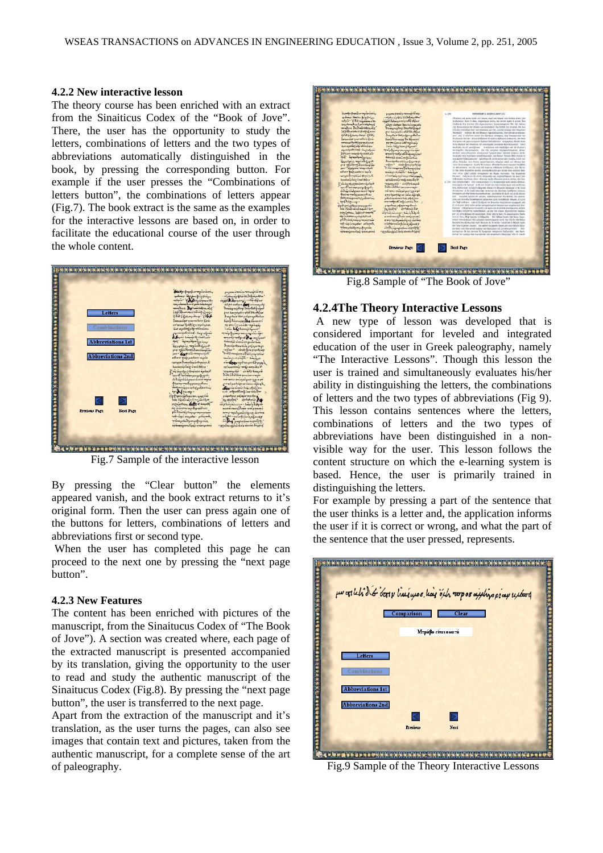#### **4.2.2 New interactive lesson**

The theory course has been enriched with an extract from the Sinaiticus Codex of the "Book of Jove". There, the user has the opportunity to study the letters, combinations of letters and the two types of abbreviations automatically distinguished in the book, by pressing the corresponding button. For example if the user presses the "Combinations of letters button", the combinations of letters appear (Fig.7). The book extract is the same as the examples for the interactive lessons are based on, in order to facilitate the educational course of the user through the whole content.



Fig.7 Sample of the interactive lesson

By pressing the "Clear button" the elements appeared vanish, and the book extract returns to it's original form. Then the user can press again one of the buttons for letters, combinations of letters and abbreviations first or second type.

 When the user has completed this page he can proceed to the next one by pressing the "next page button".

#### **4.2.3 New Features**

The content has been enriched with pictures of the manuscript, from the Sinaitucus Codex of "The Book of Jove"). A section was created where, each page of the extracted manuscript is presented accompanied by its translation, giving the opportunity to the user to read and study the authentic manuscript of the Sinaitucus Codex (Fig.8). By pressing the "next page button", the user is transferred to the next page.

Apart from the extraction of the manuscript and it's translation, as the user turns the pages, can also see images that contain text and pictures, taken from the authentic manuscript, for a complete sense of the art of paleography.



Fig.8 Sample of "The Book of Jove"

#### **4.2.4The Theory Interactive Lessons**

A new type of lesson was developed that is considered important for leveled and integrated education of the user in Greek paleography, namely "The Interactive Lessons". Though this lesson the user is trained and simultaneously evaluates his/her ability in distinguishing the letters, the combinations of letters and the two types of abbreviations (Fig 9). This lesson contains sentences where the letters, combinations of letters and the two types of abbreviations have been distinguished in a nonvisible way for the user. This lesson follows the content structure on which the e-learning system is based. Hence, the user is primarily trained in distinguishing the letters.

For example by pressing a part of the sentence that the user thinks is a letter and, the application informs the user if it is correct or wrong, and what the part of the sentence that the user pressed, represents.



Fig.9 Sample of the Theory Interactive Lessons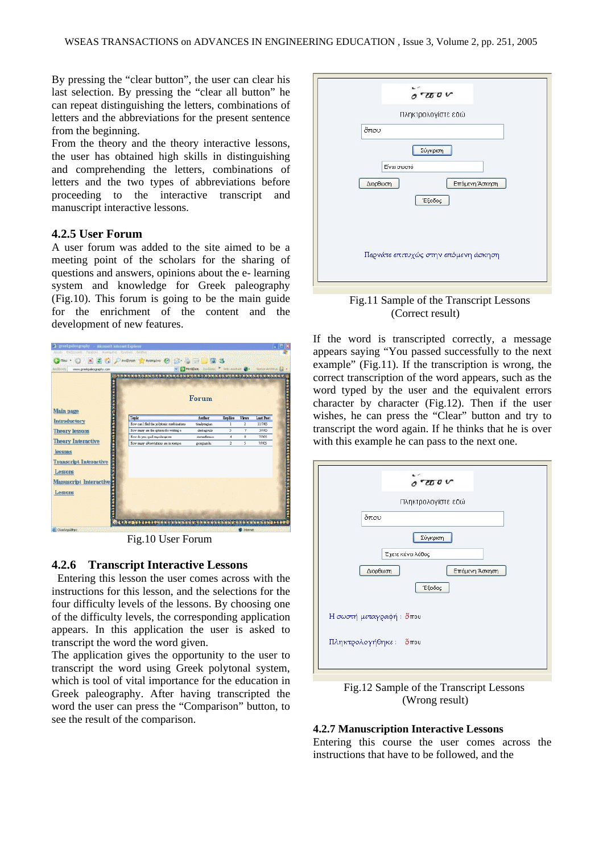By pressing the "clear button", the user can clear his last selection. By pressing the "clear all button" he can repeat distinguishing the letters, combinations of letters and the abbreviations for the present sentence from the beginning.

From the theory and the theory interactive lessons, the user has obtained high skills in distinguishing and comprehending the letters, combinations of letters and the two types of abbreviations before proceeding to the interactive transcript and manuscript interactive lessons.

#### **4.2.5 User Forum**

A user forum was added to the site aimed to be a meeting point of the scholars for the sharing of questions and answers, opinions about the e- learning system and knowledge for Greek paleography (Fig.10). This forum is going to be the main guide for the enrichment of the content and the development of new features.

| www.greekpaleography.com                            |                                           | MrtdBaan      |                | With historical Co- | Norton Activists <b>Ext</b><br>$-1.99998$ |
|-----------------------------------------------------|-------------------------------------------|---------------|----------------|---------------------|-------------------------------------------|
| Main page                                           |                                           | Forum         |                |                     |                                           |
| Introductory                                        | Topic                                     | Author        | <b>Replies</b> | <b>Views</b>        | <b>Last Post</b>                          |
|                                                     | How can't find the polytonic combinations | tirakyagian   | $\mathbf{1}$   | $\overline{a}$      | 11/7/05                                   |
| <b>Theory lessons</b>                               | How many are the options for writing a    | alertagoulis  | 3              | 7                   | 3/7/05                                    |
|                                                     | How do you spell respellance on           | steverdigment | 4              | 8                   | 7/7/05                                    |
| <b>Theory Interactive</b>                           | How many abborriations are in nompo-      | georgianla    | 2              | 5                   | 7/7/05                                    |
| lessons<br><b>Transcript Interactive</b><br>Lessons |                                           |               |                |                     |                                           |
| Manuscript Interactive                              |                                           |               |                |                     |                                           |
|                                                     |                                           |               |                |                     |                                           |
| Lessons                                             |                                           |               |                |                     |                                           |
|                                                     |                                           |               |                |                     |                                           |

Fig.10 User Forum

#### **4.2.6 Transcript Interactive Lessons**

 Entering this lesson the user comes across with the instructions for this lesson, and the selections for the four difficulty levels of the lessons. By choosing one of the difficulty levels, the corresponding application appears. In this application the user is asked to transcript the word the word given.

The application gives the opportunity to the user to transcript the word using Greek polytonal system, which is tool of vital importance for the education in Greek paleography. After having transcripted the word the user can press the "Comparison" button, to see the result of the comparison.



 Fig.11 Sample of the Transcript Lessons (Correct result)

If the word is transcripted correctly, a message appears saying "You passed successfully to the next example" (Fig.11). If the transcription is wrong, the correct transcription of the word appears, such as the word typed by the user and the equivalent errors character by character (Fig.12). Then if the user wishes, he can press the "Clear" button and try to transcript the word again. If he thinks that he is over with this example he can pass to the next one.



 Fig.12 Sample of the Transcript Lessons (Wrong result)

#### **4.2.7 Manuscription Interactive Lessons**

Entering this course the user comes across the instructions that have to be followed, and the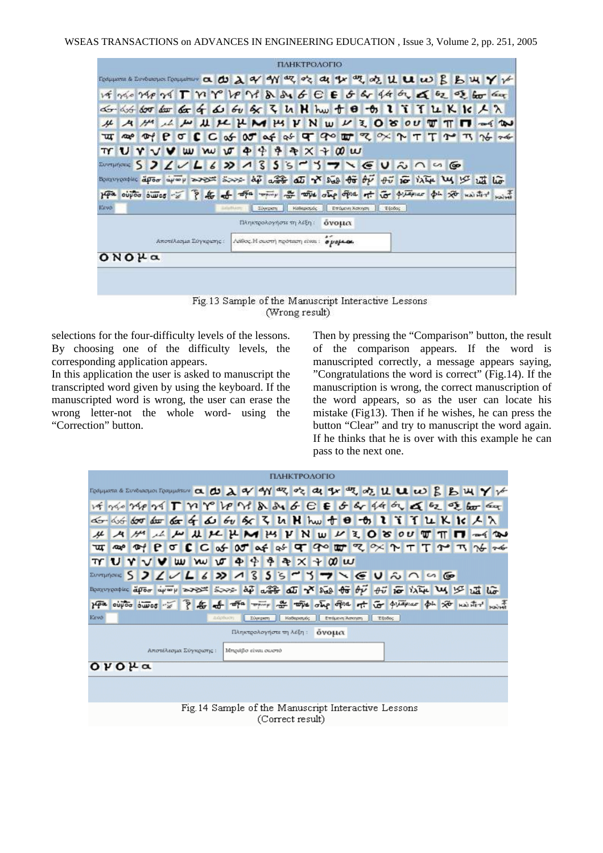|                                                                                                          |              |                                                                                       |                |                       |  |                                                                                                                          |  |                                                |          |  | ПАНКТРОЛОГІО |       |                |                                                                                                                      |  |  |  |       |
|----------------------------------------------------------------------------------------------------------|--------------|---------------------------------------------------------------------------------------|----------------|-----------------------|--|--------------------------------------------------------------------------------------------------------------------------|--|------------------------------------------------|----------|--|--------------|-------|----------------|----------------------------------------------------------------------------------------------------------------------|--|--|--|-------|
| Tosuparus & Environment Computerum a @ @ 2 a/ ay ay az az az ay az az az az az az az az az az B B W Y ir |              |                                                                                       |                |                       |  |                                                                                                                          |  |                                                |          |  |              |       |                |                                                                                                                      |  |  |  |       |
|                                                                                                          |              | VE NO MON TWY VOM & SUGE G & 4 M & E E E E E                                          |                |                       |  |                                                                                                                          |  |                                                |          |  |              |       |                |                                                                                                                      |  |  |  |       |
|                                                                                                          |              | do dot dor dor da of do of de of z in N hw + 0 + 0 1 i i T in K ic A in               |                |                       |  |                                                                                                                          |  |                                                |          |  |              |       |                |                                                                                                                      |  |  |  |       |
|                                                                                                          |              | $A$ $H$                                                                               |                |                       |  | LANUX HMMYNWV3080UT                                                                                                      |  |                                                |          |  |              |       |                |                                                                                                                      |  |  |  | $-4$  |
| ₩                                                                                                        | $\mathbf{w}$ |                                                                                       | $\mathbb{P}$ e |                       |  | $\sigma C C \uplus \sigma C \uplus \sigma C \uplus \sigma C \uplus \sigma C \uplus \sigma C \uplus \tau C \uplus \tau C$ |  |                                                |          |  |              |       |                |                                                                                                                      |  |  |  | 26.76 |
|                                                                                                          |              | <b>TY U Y V V</b>                                                                     |                | w                     |  | w w                                                                                                                      |  | $\Phi$ $\Phi$                                  | 争        |  | $AX + W$     |       |                |                                                                                                                      |  |  |  |       |
| Improves S 2 L V L 6 2 1 3 5 5 6 7 7 7 6 U 2 0 4 6                                                       |              |                                                                                       |                |                       |  |                                                                                                                          |  |                                                |          |  |              |       |                |                                                                                                                      |  |  |  |       |
| Becomentair apor apor aport some ap aft and Y Not to by to it it is the U is at the                      |              |                                                                                       |                |                       |  |                                                                                                                          |  |                                                |          |  |              |       |                |                                                                                                                      |  |  |  |       |
| 14a                                                                                                      |              | outon simon of the other way to the other office of the other put of the second solid |                |                       |  |                                                                                                                          |  |                                                |          |  |              |       |                |                                                                                                                      |  |  |  |       |
| <b>IGSVO</b>                                                                                             |              |                                                                                       |                |                       |  |                                                                                                                          |  |                                                | Σύγκριστ |  | Καθερισμός   |       | Επόμενη Άσκηση | E60000                                                                                                               |  |  |  |       |
|                                                                                                          |              |                                                                                       |                |                       |  |                                                                                                                          |  | Πληκτρολογήστε τη λέξη:                        |          |  |              | όνομα |                |                                                                                                                      |  |  |  |       |
|                                                                                                          |              |                                                                                       |                | Αποτέλεσμα Σύγκρισης: |  |                                                                                                                          |  | Λάθος. Η σωστή πρόταση είναι: <i>ο μοβλο</i> λ |          |  |              |       |                |                                                                                                                      |  |  |  |       |
|                                                                                                          | $ONO\mu$ a   |                                                                                       |                |                       |  |                                                                                                                          |  |                                                |          |  |              |       |                |                                                                                                                      |  |  |  |       |
|                                                                                                          |              |                                                                                       |                |                       |  |                                                                                                                          |  |                                                |          |  |              |       |                |                                                                                                                      |  |  |  |       |
|                                                                                                          |              |                                                                                       |                |                       |  |                                                                                                                          |  |                                                |          |  |              |       |                |                                                                                                                      |  |  |  |       |
|                                                                                                          |              |                                                                                       |                |                       |  |                                                                                                                          |  |                                                |          |  |              |       |                | the state of the company's company's company's company's company's company's company's company's company's company's |  |  |  |       |

Fig.13 Sample of the Manuscript Interactive Lessons (Wrong result)

selections for the four-difficulty levels of the lessons. By choosing one of the difficulty levels, the corresponding application appears.

In this application the user is asked to manuscript the transcripted word given by using the keyboard. If the manuscripted word is wrong, the user can erase the wrong letter-not the whole word- using the "Correction" button.

Then by pressing the "Comparison" button, the result of the comparison appears. If the word is manuscripted correctly, a message appears saying, "Congratulations the word is correct" (Fig.14). If the manuscription is wrong, the correct manuscription of the word appears, so as the user can locate his mistake (Fig13). Then if he wishes, he can press the button "Clear" and try to manuscript the word again. If he thinks that he is over with this example he can pass to the next one.

|                                                                                  | ΠΑΗΚΤΡΟΛΟΓΙΟ                                         |                            |  |  |  |  |                 |                                      |          |  |            |  |                |        |  |  |                                                                                              |
|----------------------------------------------------------------------------------|------------------------------------------------------|----------------------------|--|--|--|--|-----------------|--------------------------------------|----------|--|------------|--|----------------|--------|--|--|----------------------------------------------------------------------------------------------|
|                                                                                  |                                                      |                            |  |  |  |  |                 |                                      |          |  |            |  |                |        |  |  | Геанциата в Ентематринисти а @ 2 a/ a/ a/ a/ a/ a/ a/ gr a/ gr a/ a/ a/ a/ a/ u u B B щ Y v  |
| いがそう インストレイト アレイト アンドライザー インスティック                                                |                                                      |                            |  |  |  |  |                 |                                      |          |  |            |  |                |        |  |  |                                                                                              |
| cG- cG 600 dar 60 6 60 60 60 50 3 4 N hw + 0 - 0 1 7 7 L K K K A X               |                                                      |                            |  |  |  |  |                 |                                      |          |  |            |  |                |        |  |  |                                                                                              |
|                                                                                  |                                                      |                            |  |  |  |  |                 |                                      |          |  |            |  |                |        |  |  | A M A M U H K H M M Y N W V Z O 8 OU T T T = 4 W                                             |
| प्पा                                                                             |                                                      | $\infty$ $\infty$ $\infty$ |  |  |  |  |                 |                                      |          |  |            |  |                |        |  |  |                                                                                              |
| TY U Y V V W W W O + + + + x + 0 W                                               |                                                      |                            |  |  |  |  |                 |                                      |          |  |            |  |                |        |  |  |                                                                                              |
|                                                                                  |                                                      |                            |  |  |  |  |                 |                                      |          |  |            |  |                |        |  |  |                                                                                              |
| Beauverster apor eyes are some ap and a set and of the by the inter the last the |                                                      |                            |  |  |  |  |                 |                                      |          |  |            |  |                |        |  |  |                                                                                              |
| ppa                                                                              |                                                      |                            |  |  |  |  |                 |                                      |          |  |            |  |                |        |  |  | outer sures of I to the whole the who start of the other of the planner of the resident with |
| Kevő                                                                             |                                                      |                            |  |  |  |  | <b>AIGROUTH</b> |                                      | Σύγκριση |  | Καθερισμός |  | Επόμενη Άσκηση | Etočo; |  |  |                                                                                              |
|                                                                                  |                                                      |                            |  |  |  |  |                 | Πληκτρολογήστε τη λέξη: <b>όνομα</b> |          |  |            |  |                |        |  |  |                                                                                              |
|                                                                                  | Αποτέλεσμα Σύγκρισης:<br>Μπράβο είναι σωστό          |                            |  |  |  |  |                 |                                      |          |  |            |  |                |        |  |  |                                                                                              |
|                                                                                  | $OVO\mu$ a                                           |                            |  |  |  |  |                 |                                      |          |  |            |  |                |        |  |  |                                                                                              |
|                                                                                  |                                                      |                            |  |  |  |  |                 |                                      |          |  |            |  |                |        |  |  |                                                                                              |
|                                                                                  |                                                      |                            |  |  |  |  |                 |                                      |          |  |            |  |                |        |  |  |                                                                                              |
|                                                                                  | Fig. 14 Sample of the Manuscript Interactive Lessons |                            |  |  |  |  |                 |                                      |          |  |            |  |                |        |  |  |                                                                                              |
|                                                                                  | (Correct result)                                     |                            |  |  |  |  |                 |                                      |          |  |            |  |                |        |  |  |                                                                                              |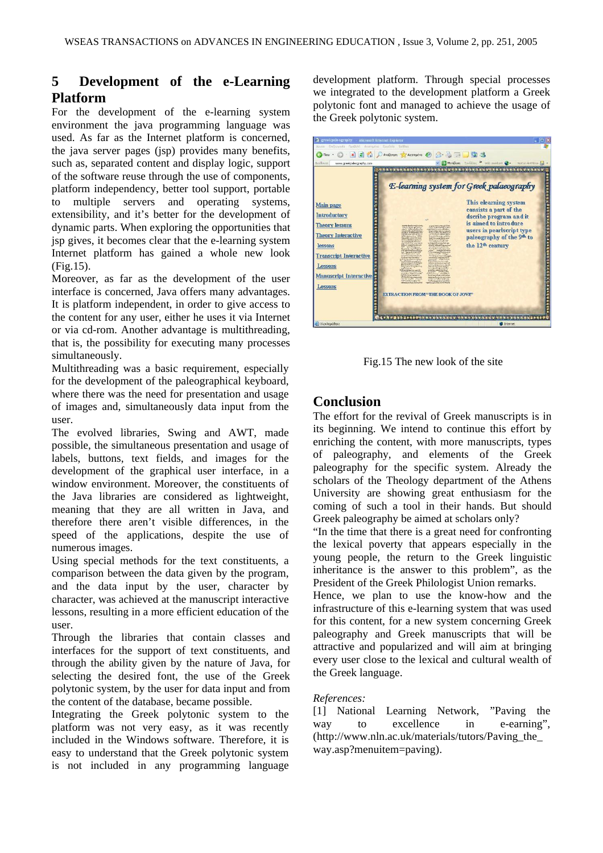## **5** Development of the e-Learning **Platform**

For the development of the e-learning system environment the java programming language was used. As far as the Internet platform is concerned, the java server pages (jsp) provides many benefits, such as, separated content and display logic, support of the software reuse through the use of components, platform independency, better tool support, portable to multiple servers and operating systems, extensibility, and it's better for the development of dynamic parts. When exploring the opportunities that jsp gives, it becomes clear that the e-learning system Internet platform has gained a whole new look (Fig.15).

Moreover, as far as the development of the user interface is concerned, Java offers many advantages. It is platform independent, in order to give access to the content for any user, either he uses it via Internet or via cd-rom. Another advantage is multithreading, that is, the possibility for executing many processes simultaneously.

Multithreading was a basic requirement, especially for the development of the paleographical keyboard, where there was the need for presentation and usage of images and, simultaneously data input from the user.

The evolved libraries, Swing and AWT, made possible, the simultaneous presentation and usage of labels, buttons, text fields, and images for the development of the graphical user interface, in a window environment. Moreover, the constituents of the Java libraries are considered as lightweight, meaning that they are all written in Java, and therefore there aren't visible differences, in the speed of the applications, despite the use of numerous images.

Using special methods for the text constituents, a comparison between the data given by the program, and the data input by the user, character by character, was achieved at the manuscript interactive lessons, resulting in a more efficient education of the user.

Through the libraries that contain classes and interfaces for the support of text constituents, and through the ability given by the nature of Java, for selecting the desired font, the use of the Greek polytonic system, by the user for data input and from the content of the database, became possible.

Integrating the Greek polytonic system to the platform was not very easy, as it was recently included in the Windows software. Therefore, it is easy to understand that the Greek polytonic system is not included in any programming language

development platform. Through special processes we integrated to the development platform a Greek polytonic font and managed to achieve the usage of the Greek polytonic system.

| <b>B</b> greekpalengraphy<br><b>Microsoft Internet Explorer</b><br>Apple Endanyoda Rodbish Avarrupyo Envalve Boriboa             | о                                                                                                                                                                                                                                                                                                                                                                                                                                                                                                                                                                                                                                                                                                                                                                                                                                                                                                                                                                                                                                                                                                                                                     |
|----------------------------------------------------------------------------------------------------------------------------------|-------------------------------------------------------------------------------------------------------------------------------------------------------------------------------------------------------------------------------------------------------------------------------------------------------------------------------------------------------------------------------------------------------------------------------------------------------------------------------------------------------------------------------------------------------------------------------------------------------------------------------------------------------------------------------------------------------------------------------------------------------------------------------------------------------------------------------------------------------------------------------------------------------------------------------------------------------------------------------------------------------------------------------------------------------------------------------------------------------------------------------------------------------|
| $\bigcirc$ Tion $\cdot$<br>$\vert x \vert$                                                                                       | 2 DAvollmon Charmake @ G . F 3                                                                                                                                                                                                                                                                                                                                                                                                                                                                                                                                                                                                                                                                                                                                                                                                                                                                                                                                                                                                                                                                                                                        |
| Autófkovon<br>www.greekpaleography.com<br>Main page                                                                              | MendBach Eurodone M Web assistant C - Norton Antifirus R -<br><b><i><u> 2009 - 2009 - 2009 - 2009 - 2009 - 2009 - 2009 - 2009 - 2009 - 2009 - 2009 - 2009 - 2009 - 2009 - 2009 - 2009 - 2009 - 2009 - 2009 - 2009 - 2009 - 2009 - 2009 - 2009 - 2009 - 2009 - 2009 - 2009 - 2009 - 2009 - 2009 - 2</u></i></b><br><b>E-learning system for Greek palaeography</b><br>This elearning system<br>consists a part of the                                                                                                                                                                                                                                                                                                                                                                                                                                                                                                                                                                                                                                                                                                                                  |
| <b>Introductory</b><br><b>Theory lessons</b><br><b>Theory Interactive</b><br>lessons<br><b>Transcript Interactive</b><br>Lessons | dscribe program and it<br><b>Kitt</b><br>is aimed to introduce<br>and a hard a water look.<br>International Value of Austin<br>stown itestralization<br>users in pearlscript type<br><b>With an american</b><br><b>South Administration of Advertising</b><br><b><i><u>Advanced</u></i></b><br><b>INTERNATION</b><br><b>Getty starss.c</b><br>paleography of the 9 <sup>th</sup> to<br><b>NATIONALISM TAIL</b><br><b>Base fair list color so fair</b><br><b>Comment Brown of any</b><br>tured how more the big commi-<br>the Western Little replaces<br><b><i>Presence Lake</i></b><br><b>Material</b><br><b>Ad Charles</b><br><b>CONTRACT</b><br>the 12 <sup>th</sup> century<br>wijouch<br>the educational and dealer for-<br><b><i><u>Romandoa Meirdinol</u></i></b><br><b>Seattle</b><br>direct discussion.<br><b>Andrew Corporation</b><br>duce in the bank die back<br>amorfalt 1 als falls formed<br>Son Literature and contemporary to<br><b>COMPANY DIA</b><br><b>HERE'S PROVIDENT</b><br>Change of the Second Property<br>a cry a particular ad concern change<br>speak formerles<br>minute how which<br>on the distribution to be<br>mid 1 |
| <b>Manuscript Interactive</b><br>Lessons<br>Oharcknowlenger                                                                      | printer of the market<br>moved beautiful a days<br>prints, slide of these<br>whatshouser handshave<br><b>CONTRACTOR</b><br>or lainity.<br>and works on a more.<br><b><i><u>State programments</u></i></b><br>dendations adult attuants<br>middemainfounderes<br>$\frac{1}{2} \frac{1}{2} \left( \frac{1}{2} \frac{1}{2} \frac{1}{2} \frac{1}{2} \frac{1}{2} \frac{1}{2} \frac{1}{2} \frac{1}{2} \frac{1}{2} \frac{1}{2} \frac{1}{2} \frac{1}{2} \frac{1}{2} \frac{1}{2} \frac{1}{2} \frac{1}{2} \frac{1}{2} \frac{1}{2} \frac{1}{2} \frac{1}{2} \frac{1}{2} \frac{1}{2} \frac{1}{2} \frac{1}{2} \frac{1}{2} \frac{1}{2} \frac{1}{2} \frac{1}{2} \frac{1}{2}$<br>and development<br><b>EXTRACTION FROM "THE BOOK OF JOVE"</b><br><b>D</b> Internet                                                                                                                                                                                                                                                                                                                                                                                                     |

Fig.15 The new look of the site

## **Conclusion**

The effort for the revival of Greek manuscripts is in its beginning. We intend to continue this effort by enriching the content, with more manuscripts, types of paleography, and elements of the Greek paleography for the specific system. Already the scholars of the Theology department of the Athens University are showing great enthusiasm for the coming of such a tool in their hands. But should Greek paleography be aimed at scholars only?

"In the time that there is a great need for confronting the lexical poverty that appears especially in the young people, the return to the Greek linguistic inheritance is the answer to this problem", as the President of the Greek Philologist Union remarks.

Hence, we plan to use the know-how and the infrastructure of this e-learning system that was used for this content, for a new system concerning Greek paleography and Greek manuscripts that will be attractive and popularized and will aim at bringing every user close to the lexical and cultural wealth of the Greek language.

#### *References:*

[1] National Learning Network, "Paving the way to excellence in e-earning", (http://www.nln.ac.uk/materials/tutors/Paving\_the\_ way.asp?menuitem=paving).